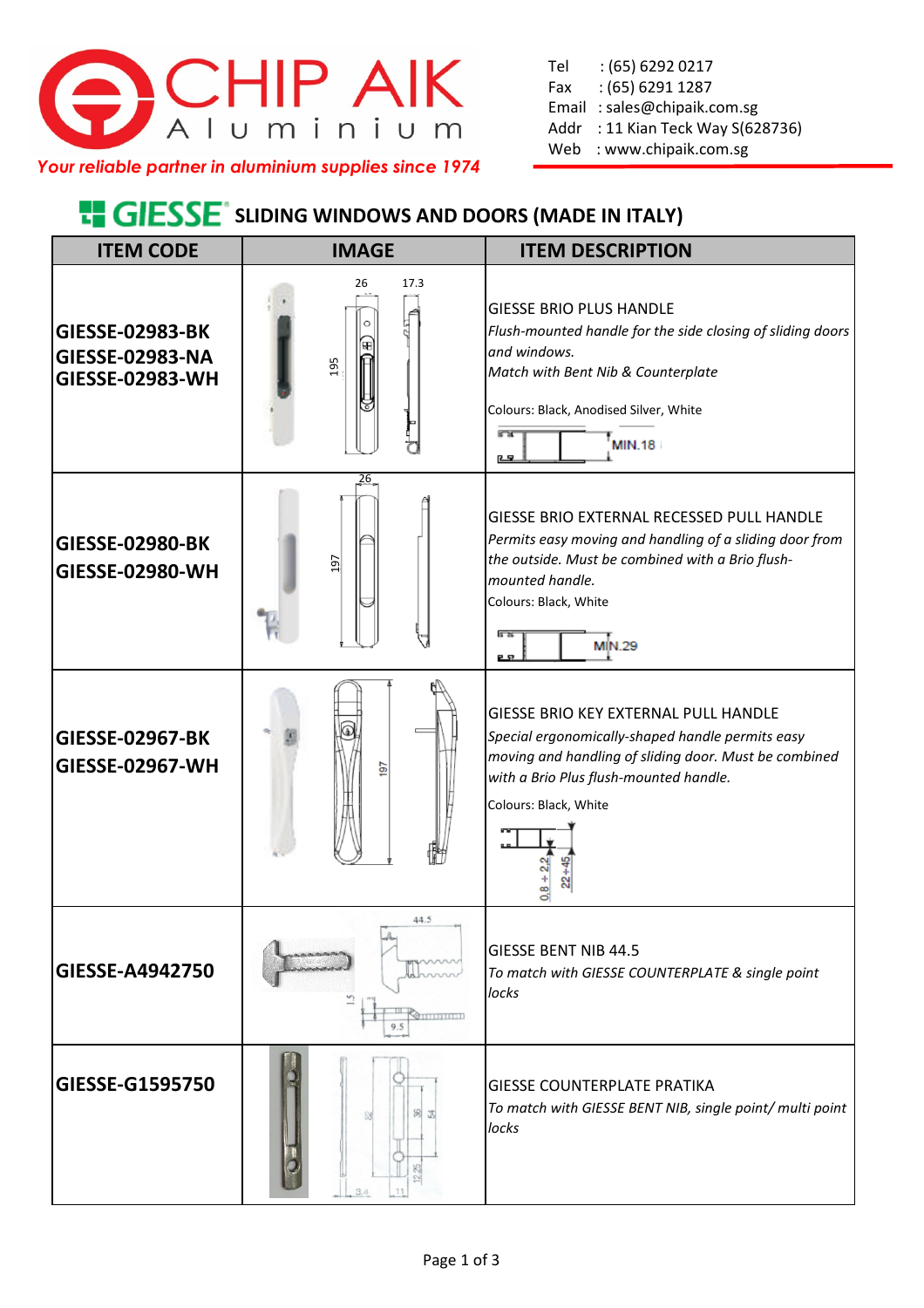

Tel : (65) 6292 0217 Fax : (65) 6291 1287 Email : sales@chipaik.com.sg Addr : 11 Kian Teck Way S(628736) Web : www.chipaik.com.sg

*Your reliable partner in aluminium supplies since 1974*

## **E. GIESSE** SLIDING WINDOWS AND DOORS (MADE IN ITALY)

| <b>ITEM CODE</b>                                                    | <b>IMAGE</b>      | <b>ITEM DESCRIPTION</b>                                                                                                                                                                                                            |
|---------------------------------------------------------------------|-------------------|------------------------------------------------------------------------------------------------------------------------------------------------------------------------------------------------------------------------------------|
| <b>GIESSE-02983-BK</b><br>GIESSE-02983-NA<br><b>GIESSE-02983-WH</b> | 26<br>17.3<br>195 | <b>GIESSE BRIO PLUS HANDLE</b><br>Flush-mounted handle for the side closing of sliding doors<br>and windows.<br>Match with Bent Nib & Counterplate<br>Colours: Black, Anodised Silver, White<br><b>MIN.18</b><br>四                 |
| <b>GIESSE-02980-BK</b><br><b>GIESSE-02980-WH</b>                    | 26<br>197         | GIESSE BRIO EXTERNAL RECESSED PULL HANDLE<br>Permits easy moving and handling of a sliding door from<br>the outside. Must be combined with a Brio flush-<br>mounted handle.<br>Colours: Black, White<br>5 रू<br><b>MIN.29</b><br>ᄆ |
| <b>GIESSE-02967-BK</b><br><b>GIESSE-02967-WH</b>                    | ē                 | GIESSE BRIO KEY EXTERNAL PULL HANDLE<br>Special ergonomically-shaped handle permits easy<br>moving and handling of sliding door. Must be combined<br>with a Brio Plus flush-mounted handle.<br>Colours: Black, White               |
| GIESSE-A4942750                                                     | 44.5<br>9.5       | <b>GIESSE BENT NIB 44.5</b><br>To match with GIESSE COUNTERPLATE & single point<br>locks                                                                                                                                           |
| GIESSE-G1595750                                                     | 3.4               | <b>GIESSE COUNTERPLATE PRATIKA</b><br>To match with GIESSE BENT NIB, single point/ multi point<br>locks                                                                                                                            |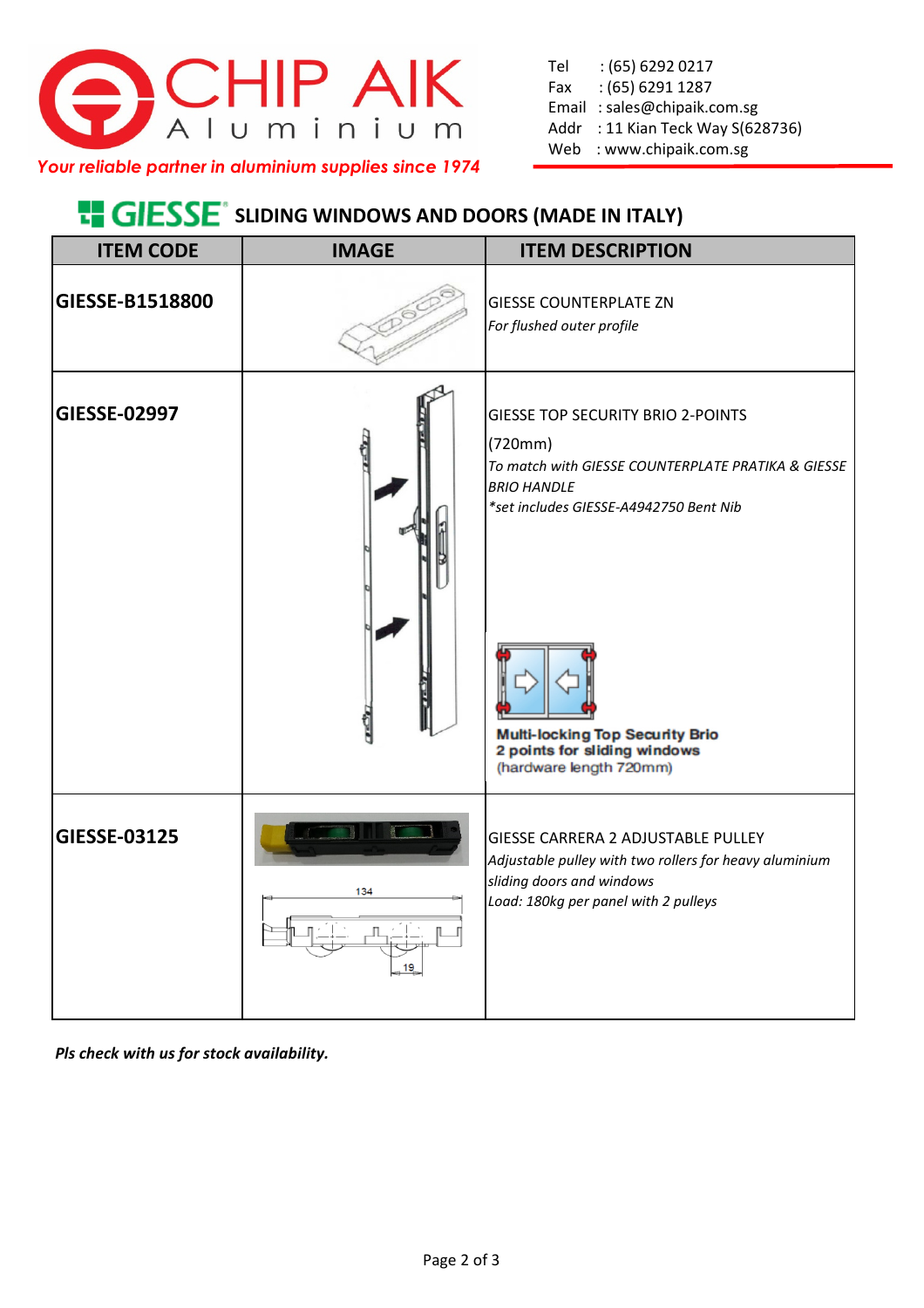

*Your reliable partner in aluminium supplies since 1974*

## **E. GIESSE** SLIDING WINDOWS AND DOORS (MADE IN ITALY)

| <b>ITEM CODE</b> | <b>IMAGE</b> | <b>ITEM DESCRIPTION</b>                                                                                                                                                                                                                                                        |
|------------------|--------------|--------------------------------------------------------------------------------------------------------------------------------------------------------------------------------------------------------------------------------------------------------------------------------|
| GIESSE-B1518800  |              | <b>GIESSE COUNTERPLATE ZN</b><br>For flushed outer profile                                                                                                                                                                                                                     |
| GIESSE-02997     |              | <b>GIESSE TOP SECURITY BRIO 2-POINTS</b><br>(720mm)<br>To match with GIESSE COUNTERPLATE PRATIKA & GIESSE<br><b>BRIO HANDLE</b><br>*set includes GIESSE-A4942750 Bent Nib<br><b>Multi-locking Top Security Brio</b><br>2 points for sliding windows<br>(hardware length 720mm) |
| GIESSE-03125     | 134          | <b>GIESSE CARRERA 2 ADJUSTABLE PULLEY</b><br>Adjustable pulley with two rollers for heavy aluminium<br>sliding doors and windows<br>Load: 180kg per panel with 2 pulleys                                                                                                       |

*Pls check with us for stock availability.*